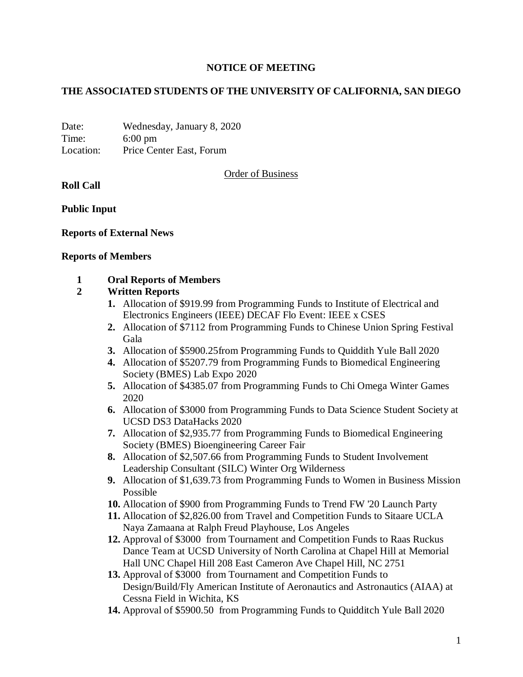# **NOTICE OF MEETING**

## **THE ASSOCIATED STUDENTS OF THE UNIVERSITY OF CALIFORNIA, SAN DIEGO**

Date: Wednesday, January 8, 2020 Time: 6:00 pm Location: Price Center East, Forum

Order of Business

**Roll Call**

**Public Input**

## **Reports of External News**

#### **Reports of Members**

## **1 Oral Reports of Members**

## **2 Written Reports**

- **1.** Allocation of \$919.99 from Programming Funds to Institute of Electrical and Electronics Engineers (IEEE) DECAF Flo Event: IEEE x CSES
- **2.** Allocation of \$7112 from Programming Funds to Chinese Union Spring Festival Gala
- **3.** Allocation of \$5900.25from Programming Funds to Quiddith Yule Ball 2020
- **4.** Allocation of \$5207.79 from Programming Funds to Biomedical Engineering Society (BMES) Lab Expo 2020
- **5.** Allocation of \$4385.07 from Programming Funds to Chi Omega Winter Games 2020
- **6.** Allocation of \$3000 from Programming Funds to Data Science Student Society at UCSD DS3 DataHacks 2020
- **7.** Allocation of \$2,935.77 from Programming Funds to Biomedical Engineering Society (BMES) Bioengineering Career Fair
- **8.** Allocation of \$2,507.66 from Programming Funds to Student Involvement Leadership Consultant (SILC) Winter Org Wilderness
- **9.** Allocation of \$1,639.73 from Programming Funds to Women in Business Mission Possible
- **10.** Allocation of \$900 from Programming Funds to Trend FW '20 Launch Party
- **11.** Allocation of \$2,826.00 from Travel and Competition Funds to Sitaare UCLA Naya Zamaana at Ralph Freud Playhouse, Los Angeles
- **12.** Approval of \$3000 from Tournament and Competition Funds to Raas Ruckus Dance Team at UCSD University of North Carolina at Chapel Hill at Memorial Hall UNC Chapel Hill 208 East Cameron Ave Chapel Hill, NC 2751
- **13.** Approval of \$3000 from Tournament and Competition Funds to Design/Build/Fly American Institute of Aeronautics and Astronautics (AIAA) at Cessna Field in Wichita, KS
- **14.** Approval of \$5900.50 from Programming Funds to Quidditch Yule Ball 2020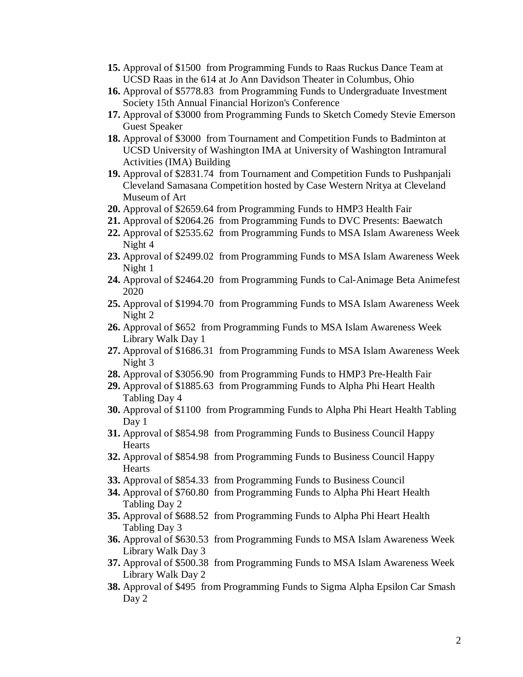- **15.** Approval of \$1500 from Programming Funds to Raas Ruckus Dance Team at UCSD Raas in the 614 at Jo Ann Davidson Theater in Columbus, Ohio
- **16.** Approval of \$5778.83 from Programming Funds to Undergraduate Investment Society 15th Annual Financial Horizon's Conference
- **17.** Approval of \$3000 from Programming Funds to Sketch Comedy Stevie Emerson Guest Speaker
- **18.** Approval of \$3000 from Tournament and Competition Funds to Badminton at UCSD University of Washington IMA at University of Washington Intramural Activities (IMA) Building
- **19.** Approval of \$2831.74 from Tournament and Competition Funds to Pushpanjali Cleveland Samasana Competition hosted by Case Western Nritya at Cleveland Museum of Art
- **20.** Approval of \$2659.64 from Programming Funds to HMP3 Health Fair
- **21.** Approval of \$2064.26 from Programming Funds to DVC Presents: Baewatch
- **22.** Approval of \$2535.62 from Programming Funds to MSA Islam Awareness Week Night 4
- **23.** Approval of \$2499.02 from Programming Funds to MSA Islam Awareness Week Night 1
- **24.** Approval of \$2464.20 from Programming Funds to Cal-Animage Beta Animefest 2020
- **25.** Approval of \$1994.70 from Programming Funds to MSA Islam Awareness Week Night 2
- **26.** Approval of \$652 from Programming Funds to MSA Islam Awareness Week Library Walk Day 1
- **27.** Approval of \$1686.31 from Programming Funds to MSA Islam Awareness Week Night 3
- **28.** Approval of \$3056.90 from Programming Funds to HMP3 Pre-Health Fair
- **29.** Approval of \$1885.63 from Programming Funds to Alpha Phi Heart Health Tabling Day 4
- **30.** Approval of \$1100 from Programming Funds to Alpha Phi Heart Health Tabling Day 1
- **31.** Approval of \$854.98 from Programming Funds to Business Council Happy **Hearts**
- **32.** Approval of \$854.98 from Programming Funds to Business Council Happy **Hearts**
- **33.** Approval of \$854.33 from Programming Funds to Business Council
- **34.** Approval of \$760.80 from Programming Funds to Alpha Phi Heart Health Tabling Day 2
- **35.** Approval of \$688.52 from Programming Funds to Alpha Phi Heart Health Tabling Day 3
- **36.** Approval of \$630.53 from Programming Funds to MSA Islam Awareness Week Library Walk Day 3
- **37.** Approval of \$500.38 from Programming Funds to MSA Islam Awareness Week Library Walk Day 2
- **38.** Approval of \$495 from Programming Funds to Sigma Alpha Epsilon Car Smash Day 2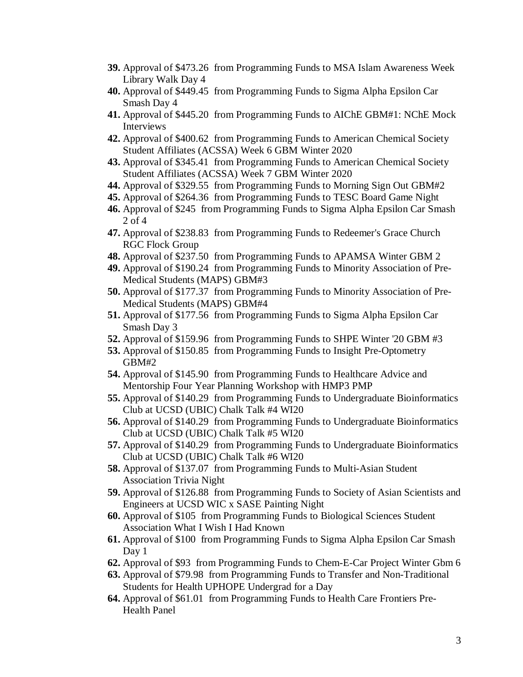- **39.** Approval of \$473.26 from Programming Funds to MSA Islam Awareness Week Library Walk Day 4
- **40.** Approval of \$449.45 from Programming Funds to Sigma Alpha Epsilon Car Smash Day 4
- **41.** Approval of \$445.20 from Programming Funds to AIChE GBM#1: NChE Mock Interviews
- **42.** Approval of \$400.62 from Programming Funds to American Chemical Society Student Affiliates (ACSSA) Week 6 GBM Winter 2020
- **43.** Approval of \$345.41 from Programming Funds to American Chemical Society Student Affiliates (ACSSA) Week 7 GBM Winter 2020
- **44.** Approval of \$329.55 from Programming Funds to Morning Sign Out GBM#2
- **45.** Approval of \$264.36 from Programming Funds to TESC Board Game Night
- **46.** Approval of \$245 from Programming Funds to Sigma Alpha Epsilon Car Smash 2 of 4
- **47.** Approval of \$238.83 from Programming Funds to Redeemer's Grace Church RGC Flock Group
- **48.** Approval of \$237.50 from Programming Funds to APAMSA Winter GBM 2
- **49.** Approval of \$190.24 from Programming Funds to Minority Association of Pre-Medical Students (MAPS) GBM#3
- **50.** Approval of \$177.37 from Programming Funds to Minority Association of Pre-Medical Students (MAPS) GBM#4
- **51.** Approval of \$177.56 from Programming Funds to Sigma Alpha Epsilon Car Smash Day 3
- **52.** Approval of \$159.96 from Programming Funds to SHPE Winter '20 GBM #3
- **53.** Approval of \$150.85 from Programming Funds to Insight Pre-Optometry GBM#2
- **54.** Approval of \$145.90 from Programming Funds to Healthcare Advice and Mentorship Four Year Planning Workshop with HMP3 PMP
- **55.** Approval of \$140.29 from Programming Funds to Undergraduate Bioinformatics Club at UCSD (UBIC) Chalk Talk #4 WI20
- **56.** Approval of \$140.29 from Programming Funds to Undergraduate Bioinformatics Club at UCSD (UBIC) Chalk Talk #5 WI20
- **57.** Approval of \$140.29 from Programming Funds to Undergraduate Bioinformatics Club at UCSD (UBIC) Chalk Talk #6 WI20
- **58.** Approval of \$137.07 from Programming Funds to Multi-Asian Student Association Trivia Night
- **59.** Approval of \$126.88 from Programming Funds to Society of Asian Scientists and Engineers at UCSD WIC x SASE Painting Night
- **60.** Approval of \$105 from Programming Funds to Biological Sciences Student Association What I Wish I Had Known
- **61.** Approval of \$100 from Programming Funds to Sigma Alpha Epsilon Car Smash Day 1
- **62.** Approval of \$93 from Programming Funds to Chem-E-Car Project Winter Gbm 6
- **63.** Approval of \$79.98 from Programming Funds to Transfer and Non-Traditional Students for Health UPHOPE Undergrad for a Day
- **64.** Approval of \$61.01 from Programming Funds to Health Care Frontiers Pre-Health Panel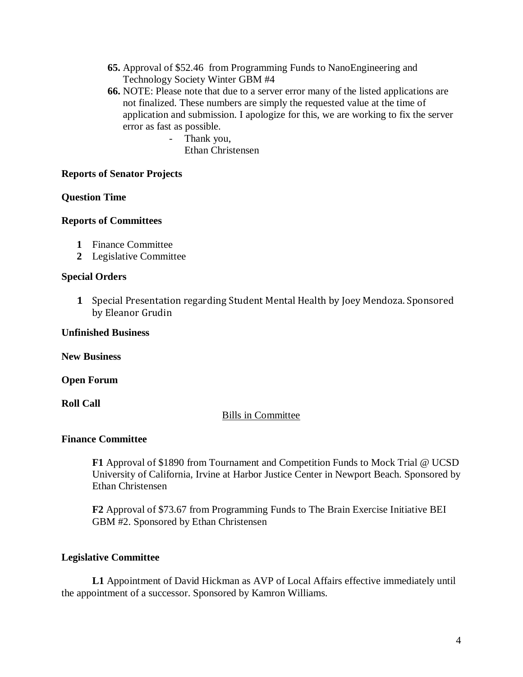- **65.** Approval of \$52.46 from Programming Funds to NanoEngineering and Technology Society Winter GBM #4
- **66.** NOTE: Please note that due to a server error many of the listed applications are not finalized. These numbers are simply the requested value at the time of application and submission. I apologize for this, we are working to fix the server error as fast as possible.
	- Thank you, Ethan Christensen

## **Reports of Senator Projects**

## **Question Time**

## **Reports of Committees**

- **1** Finance Committee
- **2** Legislative Committee

## **Special Orders**

**1** Special Presentation regarding Student Mental Health by Joey Mendoza. Sponsored by Eleanor Grudin

#### **Unfinished Business**

**New Business**

**Open Forum**

## **Roll Call**

## Bills in Committee

## **Finance Committee**

**F1** Approval of \$1890 from Tournament and Competition Funds to Mock Trial @ UCSD University of California, Irvine at Harbor Justice Center in Newport Beach. Sponsored by Ethan Christensen

**F2** Approval of \$73.67 from Programming Funds to The Brain Exercise Initiative BEI GBM #2. Sponsored by Ethan Christensen

## **Legislative Committee**

**L1** Appointment of David Hickman as AVP of Local Affairs effective immediately until the appointment of a successor. Sponsored by Kamron Williams.